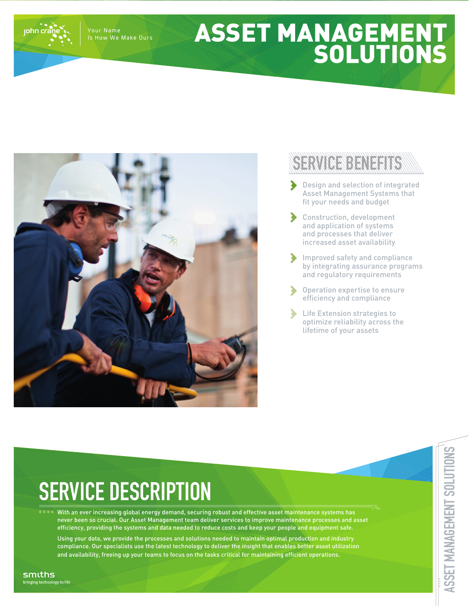Your Name Is How We Make Ours

iohn crá

## ASSET MANAGEMENT SOLUTIONS



## SERVICE BENEFITS

- Design and selection of integrated Asset Management Systems that fit your needs and budget
- Construction, development and application of systems and processes that deliver increased asset availability
- Improved safety and compliance by integrating assurance programs and regulatory requirements
- Operation expertise to ensure  $\blacktriangleright$ efficiency and compliance
- Life Extension strategies to optimize reliability across the lifetime of your assets

## **SERVICE DESCRIPTION**

With an ever increasing global energy demand, securing robust and effective asset maintenance systems has never been so crucial. Our Asset Management team deliver services to improve maintenance processes and asset efficiency, providing the systems and data needed to reduce costs and keep your people and equipment safe.

Using your data, we provide the processes and solutions needed to maintain optimal production and industry compliance. Our specialists use the latest technology to deliver the insight that enables better asset utilization and availability, freeing up your teams to focus on the tasks critical for maintaining efficient operations.

smiths bringing technology to life